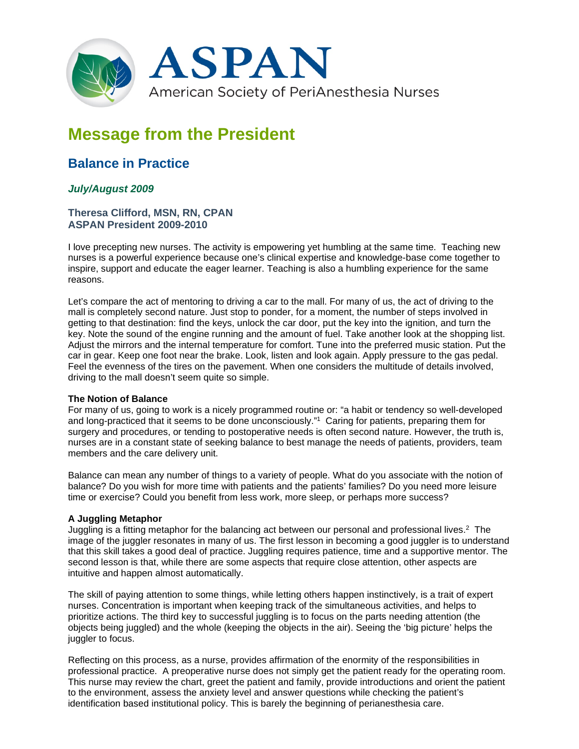

# **Message from the President**

## **Balance in Practice**

### *July/August 2009*

#### **Theresa Clifford, MSN, RN, CPAN ASPAN President 2009-2010**

I love precepting new nurses. The activity is empowering yet humbling at the same time. Teaching new nurses is a powerful experience because one's clinical expertise and knowledge-base come together to inspire, support and educate the eager learner. Teaching is also a humbling experience for the same reasons.

Let's compare the act of mentoring to driving a car to the mall. For many of us, the act of driving to the mall is completely second nature. Just stop to ponder, for a moment, the number of steps involved in getting to that destination: find the keys, unlock the car door, put the key into the ignition, and turn the key. Note the sound of the engine running and the amount of fuel. Take another look at the shopping list. Adjust the mirrors and the internal temperature for comfort. Tune into the preferred music station. Put the car in gear. Keep one foot near the brake. Look, listen and look again. Apply pressure to the gas pedal. Feel the evenness of the tires on the pavement. When one considers the multitude of details involved, driving to the mall doesn't seem quite so simple.

#### **The Notion of Balance**

For many of us, going to work is a nicely programmed routine or: "a habit or tendency so well-developed and long-practiced that it seems to be done unconsciously."1 Caring for patients, preparing them for surgery and procedures, or tending to postoperative needs is often second nature. However, the truth is, nurses are in a constant state of seeking balance to best manage the needs of patients, providers, team members and the care delivery unit.

Balance can mean any number of things to a variety of people. What do you associate with the notion of balance? Do you wish for more time with patients and the patients' families? Do you need more leisure time or exercise? Could you benefit from less work, more sleep, or perhaps more success?

#### **A Juggling Metaphor**

Juggling is a fitting metaphor for the balancing act between our personal and professional lives.2 The image of the juggler resonates in many of us. The first lesson in becoming a good juggler is to understand that this skill takes a good deal of practice. Juggling requires patience, time and a supportive mentor. The second lesson is that, while there are some aspects that require close attention, other aspects are intuitive and happen almost automatically.

The skill of paying attention to some things, while letting others happen instinctively, is a trait of expert nurses. Concentration is important when keeping track of the simultaneous activities, and helps to prioritize actions. The third key to successful juggling is to focus on the parts needing attention (the objects being juggled) and the whole (keeping the objects in the air). Seeing the 'big picture' helps the juggler to focus.

Reflecting on this process, as a nurse, provides affirmation of the enormity of the responsibilities in professional practice. A preoperative nurse does not simply get the patient ready for the operating room. This nurse may review the chart, greet the patient and family, provide introductions and orient the patient to the environment, assess the anxiety level and answer questions while checking the patient's identification based institutional policy. This is barely the beginning of perianesthesia care.